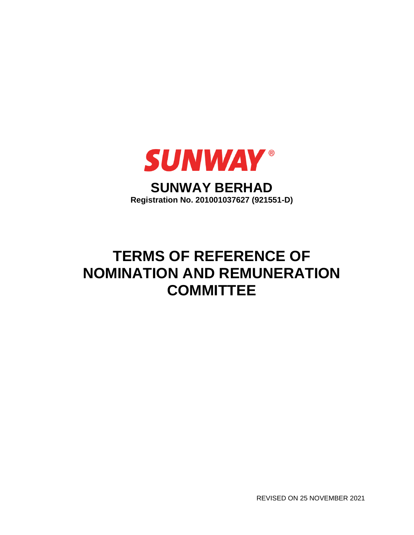

REVISED ON 25 NOVEMBER 2021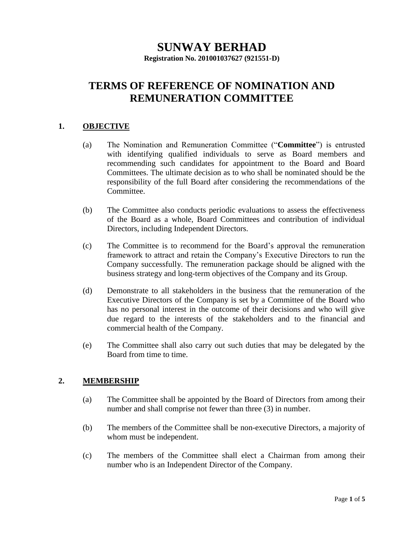# **SUNWAY BERHAD**

**Registration No. 201001037627 (921551-D)**

# **TERMS OF REFERENCE OF NOMINATION AND REMUNERATION COMMITTEE**

# **1. OBJECTIVE**

- (a) The Nomination and Remuneration Committee ("**Committee**") is entrusted with identifying qualified individuals to serve as Board members and recommending such candidates for appointment to the Board and Board Committees. The ultimate decision as to who shall be nominated should be the responsibility of the full Board after considering the recommendations of the Committee.
- (b) The Committee also conducts periodic evaluations to assess the effectiveness of the Board as a whole, Board Committees and contribution of individual Directors, including Independent Directors.
- (c) The Committee is to recommend for the Board's approval the remuneration framework to attract and retain the Company's Executive Directors to run the Company successfully. The remuneration package should be aligned with the business strategy and long-term objectives of the Company and its Group.
- (d) Demonstrate to all stakeholders in the business that the remuneration of the Executive Directors of the Company is set by a Committee of the Board who has no personal interest in the outcome of their decisions and who will give due regard to the interests of the stakeholders and to the financial and commercial health of the Company.
- (e) The Committee shall also carry out such duties that may be delegated by the Board from time to time.

# **2. MEMBERSHIP**

- (a) The Committee shall be appointed by the Board of Directors from among their number and shall comprise not fewer than three  $(3)$  in number.
- (b) The members of the Committee shall be non-executive Directors, a majority of whom must be independent.
- (c) The members of the Committee shall elect a Chairman from among their number who is an Independent Director of the Company.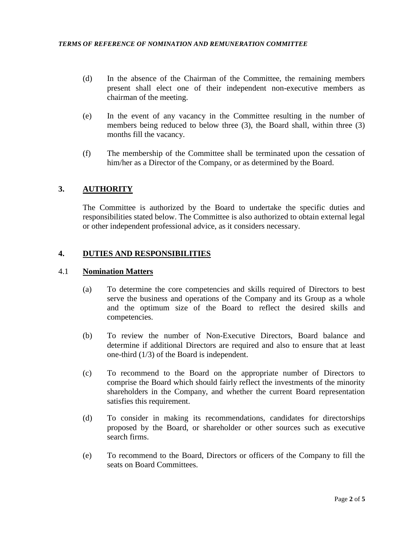- (d) In the absence of the Chairman of the Committee, the remaining members present shall elect one of their independent non-executive members as chairman of the meeting.
- (e) In the event of any vacancy in the Committee resulting in the number of members being reduced to below three (3), the Board shall, within three (3) months fill the vacancy.
- (f) The membership of the Committee shall be terminated upon the cessation of him/her as a Director of the Company, or as determined by the Board.

# **3. AUTHORITY**

The Committee is authorized by the Board to undertake the specific duties and responsibilities stated below. The Committee is also authorized to obtain external legal or other independent professional advice, as it considers necessary.

# **4. DUTIES AND RESPONSIBILITIES**

# 4.1 **Nomination Matters**

- (a) To determine the core competencies and skills required of Directors to best serve the business and operations of the Company and its Group as a whole and the optimum size of the Board to reflect the desired skills and competencies.
- (b) To review the number of Non-Executive Directors, Board balance and determine if additional Directors are required and also to ensure that at least one-third (1/3) of the Board is independent.
- (c) To recommend to the Board on the appropriate number of Directors to comprise the Board which should fairly reflect the investments of the minority shareholders in the Company, and whether the current Board representation satisfies this requirement.
- (d) To consider in making its recommendations, candidates for directorships proposed by the Board, or shareholder or other sources such as executive search firms.
- (e) To recommend to the Board, Directors or officers of the Company to fill the seats on Board Committees.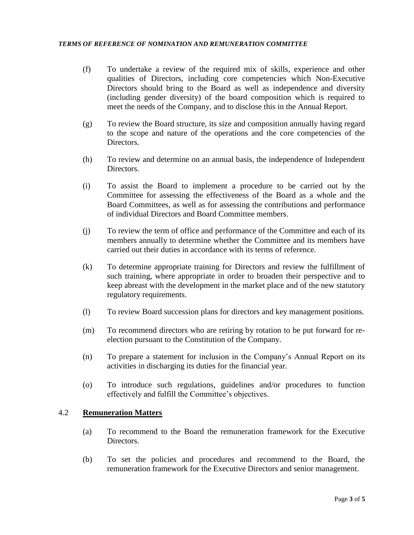- (f) To undertake a review of the required mix of skills, experience and other qualities of Directors, including core competencies which Non-Executive Directors should bring to the Board as well as independence and diversity (including gender diversity) of the board composition which is required to meet the needs of the Company, and to disclose this in the Annual Report.
- (g) To review the Board structure, its size and composition annually having regard to the scope and nature of the operations and the core competencies of the Directors.
- (h) To review and determine on an annual basis, the independence of Independent Directors.
- (i) To assist the Board to implement a procedure to be carried out by the Committee for assessing the effectiveness of the Board as a whole and the Board Committees, as well as for assessing the contributions and performance of individual Directors and Board Committee members.
- (j) To review the term of office and performance of the Committee and each of its members annually to determine whether the Committee and its members have carried out their duties in accordance with its terms of reference.
- (k) To determine appropriate training for Directors and review the fulfillment of such training, where appropriate in order to broaden their perspective and to keep abreast with the development in the market place and of the new statutory regulatory requirements.
- (l) To review Board succession plans for directors and key management positions.
- (m) To recommend directors who are retiring by rotation to be put forward for reelection pursuant to the Constitution of the Company.
- (n) To prepare a statement for inclusion in the Company's Annual Report on its activities in discharging its duties for the financial year.
- (o) To introduce such regulations, guidelines and/or procedures to function effectively and fulfill the Committee's objectives.

#### 4.2 **Remuneration Matters**

- (a) To recommend to the Board the remuneration framework for the Executive Directors.
- (b) To set the policies and procedures and recommend to the Board, the remuneration framework for the Executive Directors and senior management.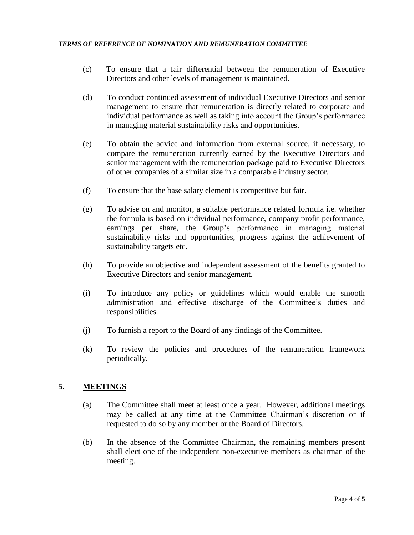- (c) To ensure that a fair differential between the remuneration of Executive Directors and other levels of management is maintained.
- (d) To conduct continued assessment of individual Executive Directors and senior management to ensure that remuneration is directly related to corporate and individual performance as well as taking into account the Group's performance in managing material sustainability risks and opportunities.
- (e) To obtain the advice and information from external source, if necessary, to compare the remuneration currently earned by the Executive Directors and senior management with the remuneration package paid to Executive Directors of other companies of a similar size in a comparable industry sector.
- (f) To ensure that the base salary element is competitive but fair.
- (g) To advise on and monitor, a suitable performance related formula i.e. whether the formula is based on individual performance, company profit performance, earnings per share, the Group's performance in managing material sustainability risks and opportunities, progress against the achievement of sustainability targets etc.
- (h) To provide an objective and independent assessment of the benefits granted to Executive Directors and senior management.
- (i) To introduce any policy or guidelines which would enable the smooth administration and effective discharge of the Committee's duties and responsibilities.
- (j) To furnish a report to the Board of any findings of the Committee.
- (k) To review the policies and procedures of the remuneration framework periodically.

# **5. MEETINGS**

- (a) The Committee shall meet at least once a year. However, additional meetings may be called at any time at the Committee Chairman's discretion or if requested to do so by any member or the Board of Directors.
- (b) In the absence of the Committee Chairman, the remaining members present shall elect one of the independent non-executive members as chairman of the meeting.